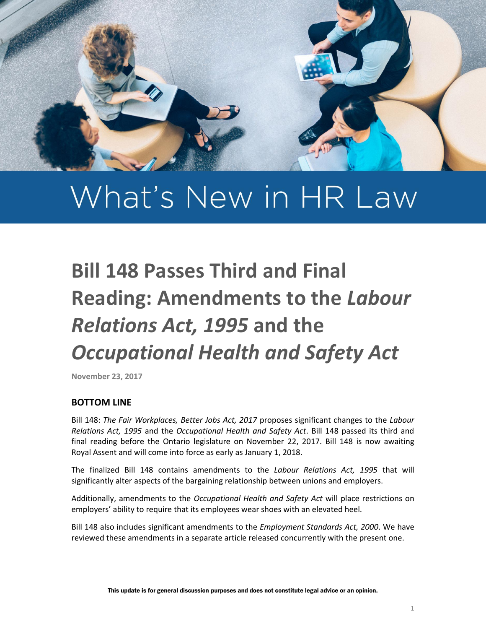

# What's New in HR Law

# **Bill 148 Passes Third and Final Reading: Amendments to the** *Labour Relations Act, 1995* **and the**  *Occupational Health and Safety Act*

**November 23, 2017**

#### **BOTTOM LINE**

Bill 148: *The Fair Workplaces, Better Jobs Act, 2017* proposes significant changes to the *Labour Relations Act, 1995* and the *Occupational Health and Safety Act*. Bill 148 passed its third and final reading before the Ontario legislature on November 22, 2017. Bill 148 is now awaiting Royal Assent and will come into force as early as January 1, 2018.

The finalized Bill 148 contains amendments to the *Labour Relations Act, 1995* that will significantly alter aspects of the bargaining relationship between unions and employers.

Additionally, amendments to the *Occupational Health and Safety Act* will place restrictions on employers' ability to require that its employees wear shoes with an elevated heel.

Bill 148 also includes significant amendments to the *Employment Standards Act, 2000*. We have reviewed these amendments in a separate article released concurrently with the present one.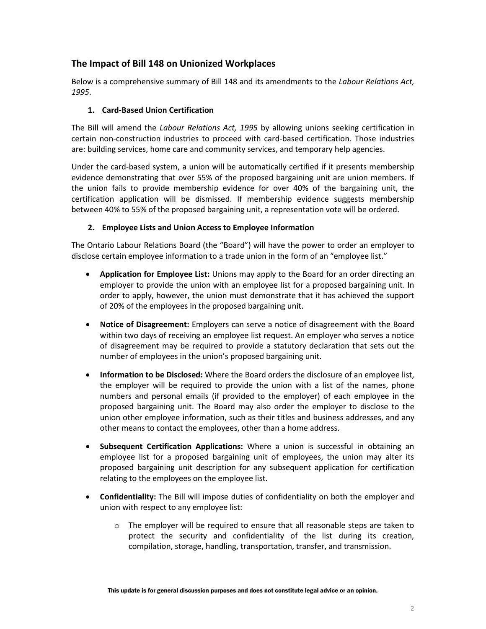# **The Impact of Bill 148 on Unionized Workplaces**

Below is a comprehensive summary of Bill 148 and its amendments to the *Labour Relations Act, 1995*.

#### **1. Card-Based Union Certification**

The Bill will amend the *Labour Relations Act, 1995* by allowing unions seeking certification in certain non-construction industries to proceed with card-based certification. Those industries are: building services, home care and community services, and temporary help agencies.

Under the card-based system, a union will be automatically certified if it presents membership evidence demonstrating that over 55% of the proposed bargaining unit are union members. If the union fails to provide membership evidence for over 40% of the bargaining unit, the certification application will be dismissed. If membership evidence suggests membership between 40% to 55% of the proposed bargaining unit, a representation vote will be ordered.

#### **2. Employee Lists and Union Access to Employee Information**

The Ontario Labour Relations Board (the "Board") will have the power to order an employer to disclose certain employee information to a trade union in the form of an "employee list."

- **Application for Employee List:** Unions may apply to the Board for an order directing an employer to provide the union with an employee list for a proposed bargaining unit. In order to apply, however, the union must demonstrate that it has achieved the support of 20% of the employees in the proposed bargaining unit.
- **Notice of Disagreement:** Employers can serve a notice of disagreement with the Board within two days of receiving an employee list request. An employer who serves a notice of disagreement may be required to provide a statutory declaration that sets out the number of employees in the union's proposed bargaining unit.
- **Information to be Disclosed:** Where the Board orders the disclosure of an employee list, the employer will be required to provide the union with a list of the names, phone numbers and personal emails (if provided to the employer) of each employee in the proposed bargaining unit. The Board may also order the employer to disclose to the union other employee information, such as their titles and business addresses, and any other means to contact the employees, other than a home address.
- **Subsequent Certification Applications:** Where a union is successful in obtaining an employee list for a proposed bargaining unit of employees, the union may alter its proposed bargaining unit description for any subsequent application for certification relating to the employees on the employee list.
- **Confidentiality:** The Bill will impose duties of confidentiality on both the employer and union with respect to any employee list:
	- $\circ$  The employer will be required to ensure that all reasonable steps are taken to protect the security and confidentiality of the list during its creation, compilation, storage, handling, transportation, transfer, and transmission.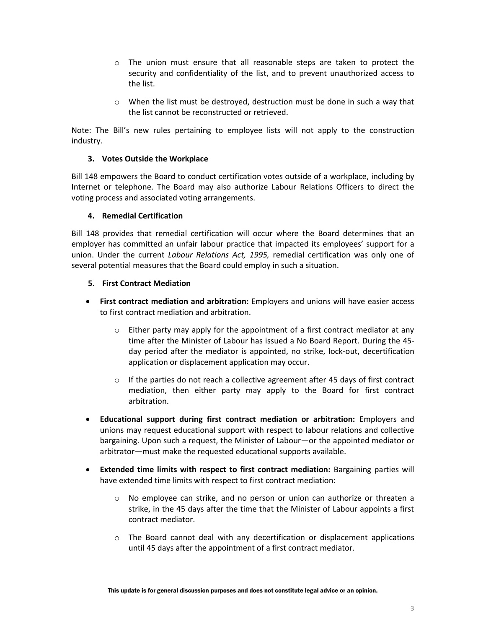- $\circ$  The union must ensure that all reasonable steps are taken to protect the security and confidentiality of the list, and to prevent unauthorized access to the list.
- $\circ$  When the list must be destroyed, destruction must be done in such a way that the list cannot be reconstructed or retrieved.

Note: The Bill's new rules pertaining to employee lists will not apply to the construction industry.

#### **3. Votes Outside the Workplace**

Bill 148 empowers the Board to conduct certification votes outside of a workplace, including by Internet or telephone. The Board may also authorize Labour Relations Officers to direct the voting process and associated voting arrangements.

#### **4. Remedial Certification**

Bill 148 provides that remedial certification will occur where the Board determines that an employer has committed an unfair labour practice that impacted its employees' support for a union. Under the current *Labour Relations Act, 1995,* remedial certification was only one of several potential measures that the Board could employ in such a situation.

#### **5. First Contract Mediation**

- **First contract mediation and arbitration:** Employers and unions will have easier access to first contract mediation and arbitration.
	- $\circ$  Either party may apply for the appointment of a first contract mediator at any time after the Minister of Labour has issued a No Board Report. During the 45 day period after the mediator is appointed, no strike, lock-out, decertification application or displacement application may occur.
	- $\circ$  If the parties do not reach a collective agreement after 45 days of first contract mediation, then either party may apply to the Board for first contract arbitration.
- **Educational support during first contract mediation or arbitration:** Employers and unions may request educational support with respect to labour relations and collective bargaining. Upon such a request, the Minister of Labour—or the appointed mediator or arbitrator—must make the requested educational supports available.
- **Extended time limits with respect to first contract mediation:** Bargaining parties will have extended time limits with respect to first contract mediation:
	- o No employee can strike, and no person or union can authorize or threaten a strike, in the 45 days after the time that the Minister of Labour appoints a first contract mediator.
	- o The Board cannot deal with any decertification or displacement applications until 45 days after the appointment of a first contract mediator.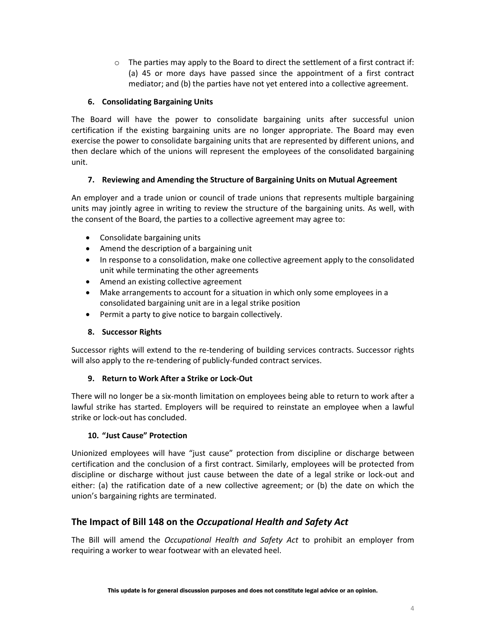$\circ$  The parties may apply to the Board to direct the settlement of a first contract if: (a) 45 or more days have passed since the appointment of a first contract mediator; and (b) the parties have not yet entered into a collective agreement.

#### **6. Consolidating Bargaining Units**

The Board will have the power to consolidate bargaining units after successful union certification if the existing bargaining units are no longer appropriate. The Board may even exercise the power to consolidate bargaining units that are represented by different unions, and then declare which of the unions will represent the employees of the consolidated bargaining unit.

#### **7. Reviewing and Amending the Structure of Bargaining Units on Mutual Agreement**

An employer and a trade union or council of trade unions that represents multiple bargaining units may jointly agree in writing to review the structure of the bargaining units. As well, with the consent of the Board, the parties to a collective agreement may agree to:

- Consolidate bargaining units
- Amend the description of a bargaining unit
- In response to a consolidation, make one collective agreement apply to the consolidated unit while terminating the other agreements
- Amend an existing collective agreement
- Make arrangements to account for a situation in which only some employees in a consolidated bargaining unit are in a legal strike position
- Permit a party to give notice to bargain collectively.

### **8. Successor Rights**

Successor rights will extend to the re-tendering of building services contracts. Successor rights will also apply to the re-tendering of publicly-funded contract services.

### **9. Return to Work After a Strike or Lock-Out**

There will no longer be a six-month limitation on employees being able to return to work after a lawful strike has started. Employers will be required to reinstate an employee when a lawful strike or lock-out has concluded.

### **10. "Just Cause" Protection**

Unionized employees will have "just cause" protection from discipline or discharge between certification and the conclusion of a first contract. Similarly, employees will be protected from discipline or discharge without just cause between the date of a legal strike or lock-out and either: (a) the ratification date of a new collective agreement; or (b) the date on which the union's bargaining rights are terminated.

## **The Impact of Bill 148 on the** *Occupational Health and Safety Act*

The Bill will amend the *Occupational Health and Safety Act* to prohibit an employer from requiring a worker to wear footwear with an elevated heel.